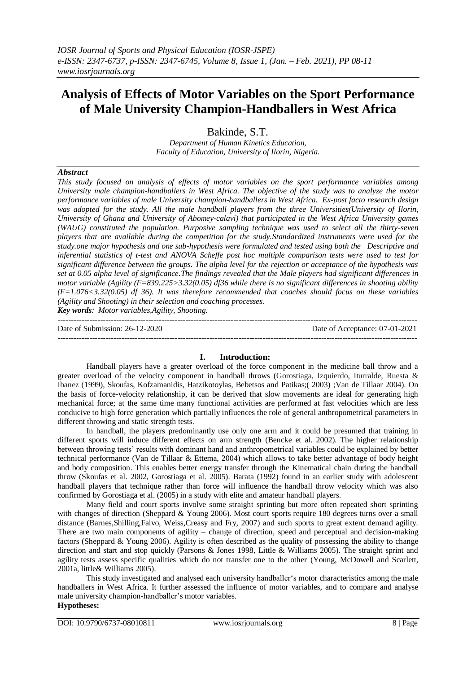# **Analysis of Effects of Motor Variables on the Sport Performance of Male University Champion-Handballers in West Africa**

Bakinde, S.T.

*Department of Human Kinetics Education, Faculty of Education, University of Ilorin, Nigeria.*

# *Abstract*

*This study focused on analysis of effects of motor variables on the sport performance variables among University male champion-handballers in West Africa. The objective of the study was to analyze the motor performance variables of male University champion-handballers in West Africa. Ex-post facto research design was adopted for the study. All the male handball players from the three Universities(University of Ilorin, University of Ghana and University of Abomey-calavi) that participated in the West Africa University games (WAUG) constituted the population. Purposive sampling technique was used to select all the thirty-seven players that are available during the competition for the study.Standardized instruments were used for the study.one major hypothesis and one sub-hypothesis were formulated and tested using both the Descriptive and inferential statistics of t-test and ANOVA Scheffe post hoc multiple comparison tests were used to test for significant difference between the groups. The alpha level for the rejection or acceptance of the hypothesis was set at 0.05 alpha level of significance.The findings revealed that the Male players had significant differences in motor variable (Agility (F=839.225>3.32(0.05) df36 while there is no significant differences in shooting ability (F=1.076<3.32(0.05) df 36). It was therefore recommended that coaches should focus on these variables (Agility and Shooting) in their selection and coaching processes. Key words: Motor variables,Agility, Shooting.*

---------------------------------------------------------------------------------------------------------------------------------------

Date of Submission: 26-12-2020 Date of Acceptance: 07-01-2021

#### **I. Introduction:**

---------------------------------------------------------------------------------------------------------------------------------------

Handball players have a greater overload of the force component in the medicine ball throw and a greater overload of the velocity component in handball throws (Gorostiaga, Izquierdo, Iturralde, Ruesta & Ibanez (1999), Skoufas, Kofzamanidis, Hatzikotoylas, Bebetsos and Patikas;( 2003) ;Van de Tillaar 2004). On the basis of force-velocity relationship, it can be derived that slow movements are ideal for generating high mechanical force; at the same time many functional activities are performed at fast velocities which are less conducive to high force generation which partially influences the role of general anthropometrical parameters in different throwing and static strength tests.

In handball, the players predominantly use only one arm and it could be presumed that training in different sports will induce different effects on arm strength (Bencke et al. 2002). The higher relationship between throwing tests' results with dominant hand and anthropometrical variables could be explained by better technical performance (Van de Tillaar & Ettema, 2004) which allows to take better advantage of body height and body composition. This enables better energy transfer through the Kinematical chain during the handball throw (Skoufas et al. 2002, Gorostiaga et al. 2005). Barata (1992) found in an earlier study with adolescent handball players that technique rather than force will influence the handball throw velocity which was also confirmed by Gorostiaga et al. (2005) in a study with elite and amateur handball players.

Many field and court sports involve some straight sprinting but more often repeated short sprinting with changes of direction (Sheppard & Young 2006). Most court sports require 180 degrees turns over a small distance (Barnes,Shilling,Falvo, Weiss,Creasy and Fry, 2007) and such sports to great extent demand agility. There are two main components of agility – change of direction, speed and perceptual and decision-making factors (Sheppard & Young 2006). Agility is often described as the quality of possessing the ability to change direction and start and stop quickly (Parsons & Jones 1998, Little & Williams 2005). The straight sprint and agility tests assess specific qualities which do not transfer one to the other (Young, McDowell and Scarlett, 2001a, little& Williams 2005).

This study investigated and analysed each university handballer's motor characteristics among the male handballers in West Africa. It further assessed the influence of motor variables, and to compare and analyse male university champion-handballer's motor variables.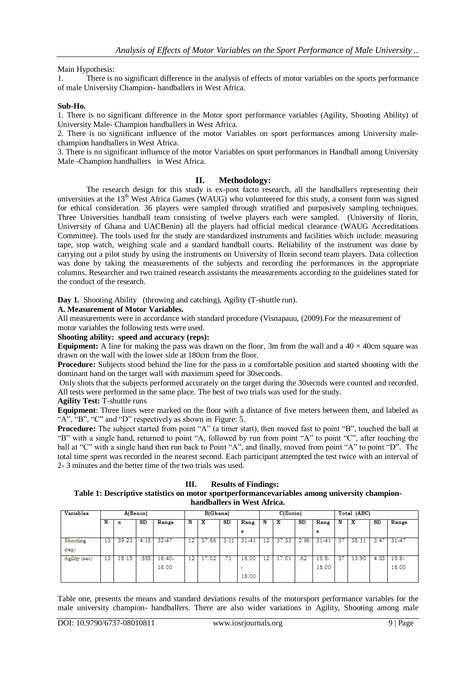# Main Hypothesis:

1. There is no significant difference in the analysis of effects of motor variables on the sports performance of male University Champion- handballers in West Africa.

# **Sub-Ho.**

1. There is no significant difference in the Motor sport performance variables (Agility, Shooting Ability) of University Male- Champion handballers in West Africa.

2. There is no significant influence of the motor Variables on sport performances among University malechampion handballers in West Africa.

3. There is no significant influence of the motor Variables on sport performances in Handball among University Male -Champion handballers in West Africa.

#### **II. Methodology:**

The research design for this study is ex-post facto research, all the handballers representing their universities at the 13<sup>th</sup> West Africa Games (WAUG) who volunteered for this study, a consent form was signed for ethical consideration. 36 players were sampled through stratified and purposively sampling techniques. Three Universities handball team consisting of twelve players each were sampled. (University of Ilorin, University of Ghana and UACBenin) all the players had official medical clearance (WAUG Accreditations Committee). The tools used for the study are standardized instruments and facilities which include: measuring tape, stop watch, weighing scale and a standard handball courts. Reliability of the instrument was done by carrying out a pilot study by using the instruments on University of Ilorin second team players. Data collection was done by taking the measurements of the subjects and recording the performances in the appropriate columns. Researcher and two trained research assistants the measurements according to the guidelines stated for the conduct of the research.

**Day 1.** Shooting Ability (throwing and catching), Agility (T-shuttle run).

#### **A. Measurement of Motor Variables.**

All measurements were in accordance with standard procedure (Visnapauu, (2009).For the measurement of motor variables the following tests were used.

# **Shooting ability: speed and accuracy (reps):**

**Equipment:** A line for making the pass was drawn on the floor, 3m from the wall and a  $40 \times 40$ cm square was drawn on the wall with the lower side at 180cm from the floor.

**Procedure:** Subjects stood behind the line for the pass in a comfortable position and started shooting with the dominant hand on the target wall with maximum speed for 30seconds.

Only shots that the subjects performed accurately on the target during the 30secnds were counted and recorded. All tests were performed in the same place. The best of two trials was used for the study.

# **Agility Test:** T-shuttle runs

**Equipment**: Three lines were marked on the floor with a distance of five meters between them, and labeled as "A", "B", "C" and "D" respectively as shown in Figure: 5.

**Procedure:** The subject started from point "A" (a timer start), then moved fast to point "B", touched the ball at "B" with a single hand, returned to point "A, followed by run from point "A" to point "C", after touching the ball at "C" with a single hand then run back to Point "A", and finally, moved from point "A" to point "D". The total time spent was recorded in the nearest second. Each participant attempted the test twice with an interval of 2- 3 minutes and the better time of the two trials was used.

#### **III. Results of Findings:**

#### **Table 1: Descriptive statistics on motor sportperformancevariables among university championhandballers in West Africa.**

| <b>Variables</b> | A(Benin) |       |      | <b>B</b> (Ghana) |    |       | $C($ Ilorin $)$ |                          |     | Total (ABC) |      |           |    |       |      |           |
|------------------|----------|-------|------|------------------|----|-------|-----------------|--------------------------|-----|-------------|------|-----------|----|-------|------|-----------|
|                  |          | ж     | SD   | Range            |    | x     | SD              | Rang                     |     | x           | SD   | Rang      |    | х     | SD   | Range     |
|                  |          |       |      |                  |    |       |                 | е                        |     |             |      | е         |    |       |      |           |
| Shooting         | 13       | 39.23 | 4.15 | 32-47            | 12 | 37.66 | 3.11            | $31 - 41$                | 12  | 37.33       | 2.96 | $31 - 41$ | 37 | 38.11 | 3.47 | $31 - 47$ |
| [rep]            |          |       |      |                  |    |       |                 |                          |     |             |      |           |    |       |      |           |
| Agility (sec)    | 13       | 18.15 | 555  | $16.40-$         | 12 | 17.02 |                 | 16.00                    | 12. | 17.01       | .62  | $15.8 -$  | 37 | 13.90 | 4.33 | $15.8 -$  |
|                  |          |       |      | 18.00            |    |       |                 | $\overline{\phantom{a}}$ |     |             |      | 18.00     |    |       |      | 18.00     |
|                  |          |       |      |                  |    |       |                 | 18.00                    |     |             |      |           |    |       |      |           |

Table one, presents the means and standard deviations results of the motorsport performance variables for the male university champion- handballers. There are also wider variations in Agility, Shooting among male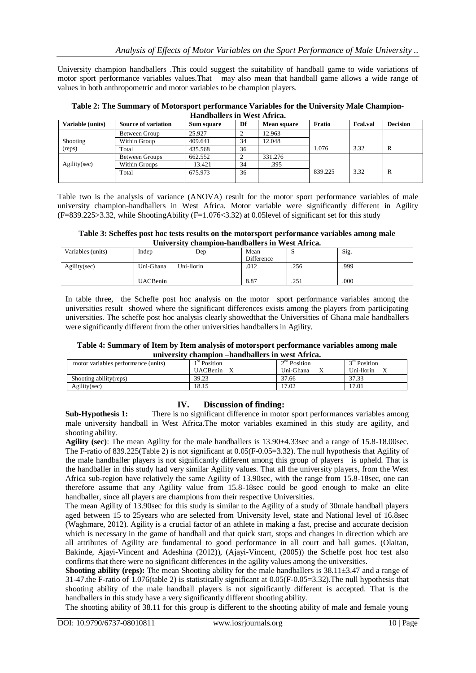University champion handballers .This could suggest the suitability of handball game to wide variations of motor sport performance variables values.That may also mean that handball game allows a wide range of values in both anthropometric and motor variables to be champion players.

**Table 2: The Summary of Motorsport performance Variables for the University Male Champion-Handballers in West Africa.**

| Variable (units) | <b>Source of variation</b> | Sum square | Df | <b>Mean square</b> | Fratio  | <b>Fcal.val</b> | <b>Decision</b> |
|------------------|----------------------------|------------|----|--------------------|---------|-----------------|-----------------|
|                  | Between Group              | 25.927     |    | 12.963             |         |                 |                 |
| Shooting         | Within Group               | 409.641    | 34 | 12.048             |         |                 |                 |
| (reps)           | Total                      | 435.568    | 36 |                    | 1.076   | 3.32            | R               |
|                  | Between Groups             | 662.552    |    | 331.276            |         |                 |                 |
| $A$ gility(sec)  | Within Groups              | 13.421     | 34 | .395               |         |                 |                 |
|                  | Total                      | 675.973    | 36 |                    | 839.225 | 3.32            | R               |
|                  |                            |            |    |                    |         |                 |                 |

Table two is the analysis of variance (ANOVA) result for the motor sport performance variables of male university champion-handballers in West Africa. Motor variable were significantly different in Agility  $(F=839.225>3.32)$ , while ShootingAbility  $(F=1.076<3.32)$  at 0.05 level of significant set for this study

**Table 3: Scheffes post hoc tests results on the motorsport performance variables among male University champion-handballers in West Africa.**

| Variables (units) | Indep           | Dep        | Mean       | ັ    | Sig. |
|-------------------|-----------------|------------|------------|------|------|
|                   |                 |            | Difference |      |      |
| Agility(sec)      | Uni-Ghana       | Uni-llorin | .012       | .256 | .999 |
|                   | <b>UACBenin</b> |            | 8.87       | .251 | .000 |

In table three, the Scheffe post hoc analysis on the motor sport performance variables among the universities result showed where the significant differences exists among the players from participating universities. The scheffe post hoc analysis clearly showedthat the Universities of Ghana male handballers were significantly different from the other universities handballers in Agility.

**Table 4: Summary of Item by Item analysis of motorsport performance variables among male university champion –handballers in west Africa.**

| $\cdots$                            |                 | <u>VAMAADIVAL AMAAMMUMALVID ALI II VOU LAALIUMI</u> |                          |                |
|-------------------------------------|-----------------|-----------------------------------------------------|--------------------------|----------------|
| motor variables performance (units) | $1st$ Position  |                                                     | 2 <sup>nd</sup> Position | $3rd$ Position |
|                                     | <b>UACBenin</b> |                                                     | Uni-Ghana                | Uni-llorin     |
| Shooting ability (reps)             | 39.23           |                                                     | 37.66                    | 37.33          |
| Agility(sec)                        | 18.15           |                                                     | 17.02                    | 17.01          |

# **IV. Discussion of finding:**

**Sub-Hypothesis 1:** There is no significant difference in motor sport performances variables among male university handball in West Africa.The motor variables examined in this study are agility, and shooting ability.

**Agility (sec)**: The mean Agility for the male handballers is 13.90±4.33sec and a range of 15.8-18.00sec. The F-ratio of 839.225(Table 2) is not significant at 0.05(F-0.05=3.32). The null hypothesis that Agility of the male handballer players is not significantly different among this group of players is upheld. That is the handballer in this study had very similar Agility values. That all the university players, from the West Africa sub-region have relatively the same Agility of 13.90sec, with the range from 15.8-18sec, one can therefore assume that any Agility value from 15.8-18sec could be good enough to make an elite handballer, since all players are champions from their respective Universities.

The mean Agility of 13.90sec for this study is similar to the Agility of a study of 30male handball players aged between 15 to 25years who are selected from University level, state and National level of 16.8sec (Waghmare, 2012). Agility is a crucial factor of an athlete in making a fast, precise and accurate decision which is necessary in the game of handball and that quick start, stops and changes in direction which are all attributes of Agility are fundamental to good performance in all court and ball games. (Olaitan, Bakinde, Ajayi-Vincent and Adeshina (2012)), (Ajayi-Vincent, (2005)) the Scheffe post hoc test also confirms that there were no significant differences in the agility values among the universities.

**Shooting ability (reps):** The mean Shooting ability for the male handballers is 38.11±3.47 and a range of 31-47.the F-ratio of 1.076(table 2) is statistically significant at 0.05(F-0.05=3.32).The null hypothesis that shooting ability of the male handball players is not significantly different is accepted. That is the handballers in this study have a very significantly different shooting ability.

The shooting ability of 38.11 for this group is different to the shooting ability of male and female young